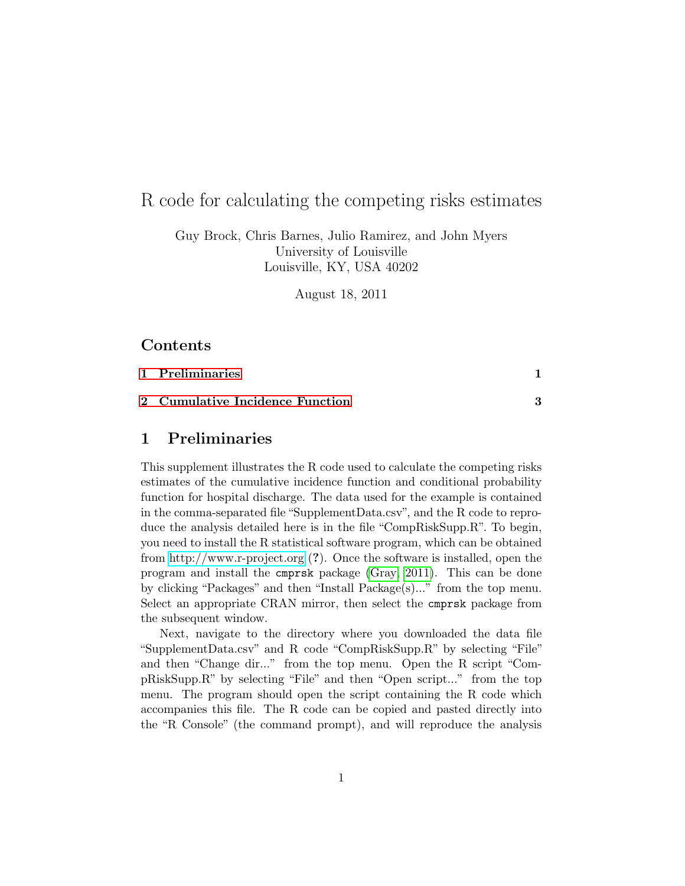# R code for calculating the competing risks estimates

Guy Brock, Chris Barnes, Julio Ramirez, and John Myers University of Louisville Louisville, KY, USA 40202

August 18, 2011

### Contents

[1 Preliminaries](#page-0-0) 1

#### [2 Cumulative Incidence Function](#page-2-0) 3

## <span id="page-0-0"></span>1 Preliminaries

This supplement illustrates the R code used to calculate the competing risks estimates of the cumulative incidence function and conditional probability function for hospital discharge. The data used for the example is contained in the comma-separated file "SupplementData.csv", and the R code to reproduce the analysis detailed here is in the file "CompRiskSupp.R". To begin, you need to install the R statistical software program, which can be obtained from<http://www.r-project.org> (?). Once the software is installed, open the program and install the cmprsk package [\(Gray, 2011\)](#page-5-0). This can be done by clicking "Packages" and then "Install Package(s)..." from the top menu. Select an appropriate CRAN mirror, then select the cmprsk package from the subsequent window.

Next, navigate to the directory where you downloaded the data file "SupplementData.csv" and R code "CompRiskSupp.R" by selecting "File" and then "Change dir..." from the top menu. Open the R script "CompRiskSupp.R" by selecting "File" and then "Open script..." from the top menu. The program should open the script containing the R code which accompanies this file. The R code can be copied and pasted directly into the "R Console" (the command prompt), and will reproduce the analysis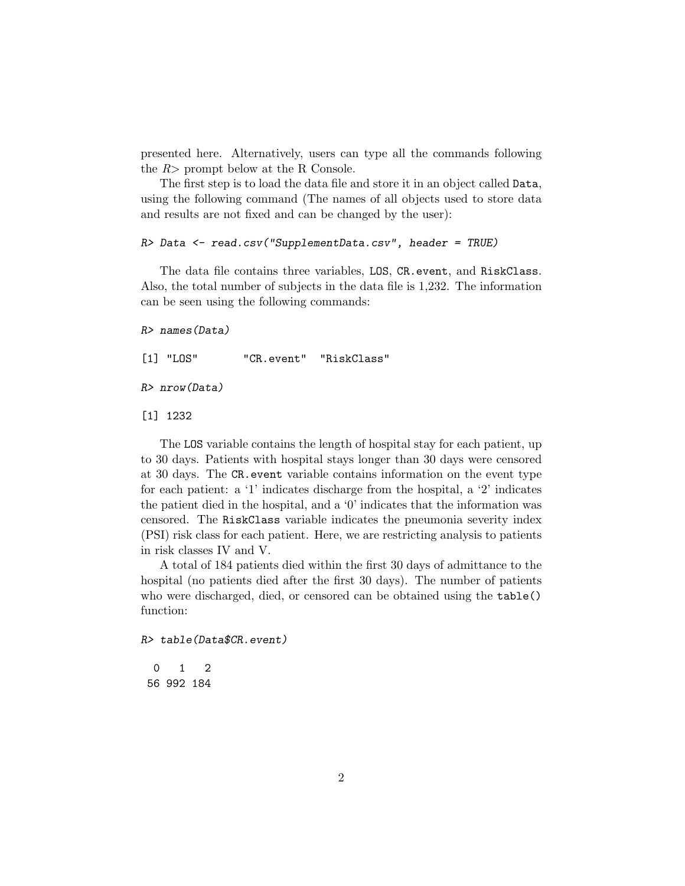presented here. Alternatively, users can type all the commands following the  $R$ > prompt below at the R Console.

The first step is to load the data file and store it in an object called Data, using the following command (The names of all objects used to store data and results are not fixed and can be changed by the user):

R> Data <- read.csv("SupplementData.csv", header = TRUE)

The data file contains three variables, LOS, CR.event, and RiskClass. Also, the total number of subjects in the data file is 1,232. The information can be seen using the following commands:

```
R> names(Data)
```
[1] "LOS" "CR.event" "RiskClass"

R> nrow(Data)

[1] 1232

The LOS variable contains the length of hospital stay for each patient, up to 30 days. Patients with hospital stays longer than 30 days were censored at 30 days. The CR.event variable contains information on the event type for each patient: a '1' indicates discharge from the hospital, a '2' indicates the patient died in the hospital, and a '0' indicates that the information was censored. The RiskClass variable indicates the pneumonia severity index (PSI) risk class for each patient. Here, we are restricting analysis to patients in risk classes IV and V.

A total of 184 patients died within the first 30 days of admittance to the hospital (no patients died after the first 30 days). The number of patients who were discharged, died, or censored can be obtained using the table() function:

R> table(Data\$CR.event)

0 1 2 56 992 184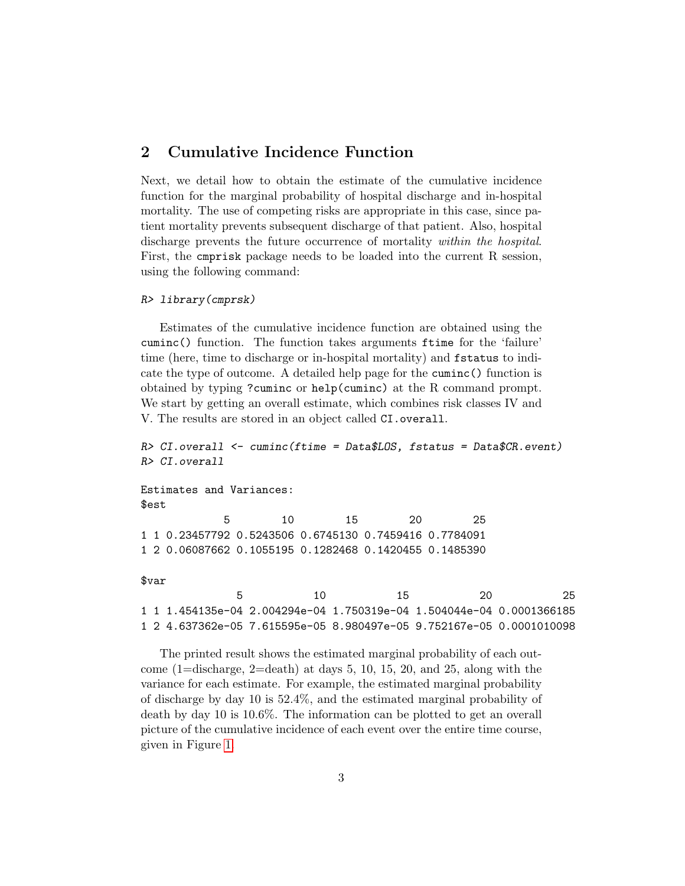## <span id="page-2-0"></span>2 Cumulative Incidence Function

Next, we detail how to obtain the estimate of the cumulative incidence function for the marginal probability of hospital discharge and in-hospital mortality. The use of competing risks are appropriate in this case, since patient mortality prevents subsequent discharge of that patient. Also, hospital discharge prevents the future occurrence of mortality within the hospital. First, the cmprisk package needs to be loaded into the current R session, using the following command:

#### R> library(cmprsk)

Estimates of the cumulative incidence function are obtained using the cuminc() function. The function takes arguments ftime for the 'failure' time (here, time to discharge or in-hospital mortality) and fstatus to indicate the type of outcome. A detailed help page for the cuminc() function is obtained by typing ?cuminc or help(cuminc) at the R command prompt. We start by getting an overall estimate, which combines risk classes IV and V. The results are stored in an object called CI.overall.

```
R> CI.overall <- cuminc(ftime = Data$LOS, fstatus = Data$CR.event)
R> CI.overall
Estimates and Variances:
$est
           5 10 15 20 25
1 1 0.23457792 0.5243506 0.6745130 0.7459416 0.7784091
1 2 0.06087662 0.1055195 0.1282468 0.1420455 0.1485390
$var
             5 10 15 20 25
1 1 1.454135e-04 2.004294e-04 1.750319e-04 1.504044e-04 0.0001366185
1 2 4.637362e-05 7.615595e-05 8.980497e-05 9.752167e-05 0.0001010098
```
The printed result shows the estimated marginal probability of each outcome  $(1=$ discharge,  $2=$ death) at days 5, 10, 15, 20, and 25, along with the variance for each estimate. For example, the estimated marginal probability of discharge by day 10 is 52.4%, and the estimated marginal probability of death by day 10 is 10.6%. The information can be plotted to get an overall picture of the cumulative incidence of each event over the entire time course, given in Figure [1.](#page-3-0)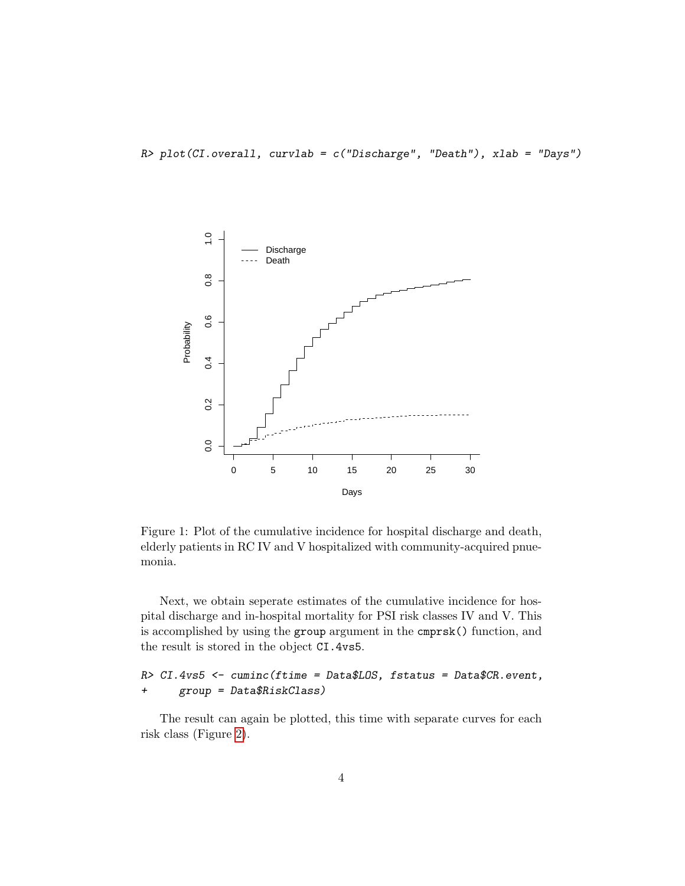R> plot(CI.overall, curvlab = c("Discharge", "Death"), xlab = "Days")



<span id="page-3-0"></span>Figure 1: Plot of the cumulative incidence for hospital discharge and death, elderly patients in RC IV and V hospitalized with community-acquired pnuemonia.

Next, we obtain seperate estimates of the cumulative incidence for hospital discharge and in-hospital mortality for PSI risk classes IV and V. This is accomplished by using the group argument in the cmprsk() function, and the result is stored in the object CI.4vs5.

```
R> CI.4vs5 <- cuminc(ftime = Data$LOS, fstatus = Data$CR.event,
+ group = Data$RiskClass)
```
The result can again be plotted, this time with separate curves for each risk class (Figure [2\)](#page-4-0).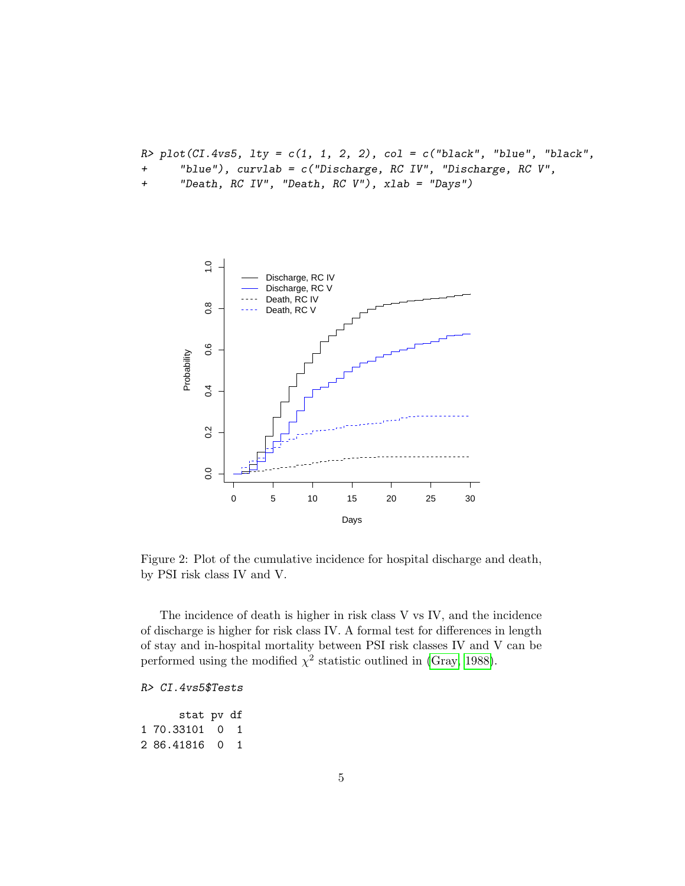$R$ > plot(CI.4vs5, lty = c(1, 1, 2, 2), col = c("black", "blue", "black",

- + "blue"), curvlab = c("Discharge, RC IV", "Discharge, RC V",
- + "Death, RC IV", "Death, RC V"), xlab = "Days")



<span id="page-4-0"></span>Figure 2: Plot of the cumulative incidence for hospital discharge and death, by PSI risk class IV and V.

The incidence of death is higher in risk class V vs IV, and the incidence of discharge is higher for risk class IV. A formal test for differences in length of stay and in-hospital mortality between PSI risk classes IV and V can be performed using the modified  $\chi^2$  statistic outlined in [\(Gray, 1988\)](#page-5-1).

#### R> CI.4vs5\$Tests

stat pv df 1 70.33101 0 1 2 86.41816 0 1